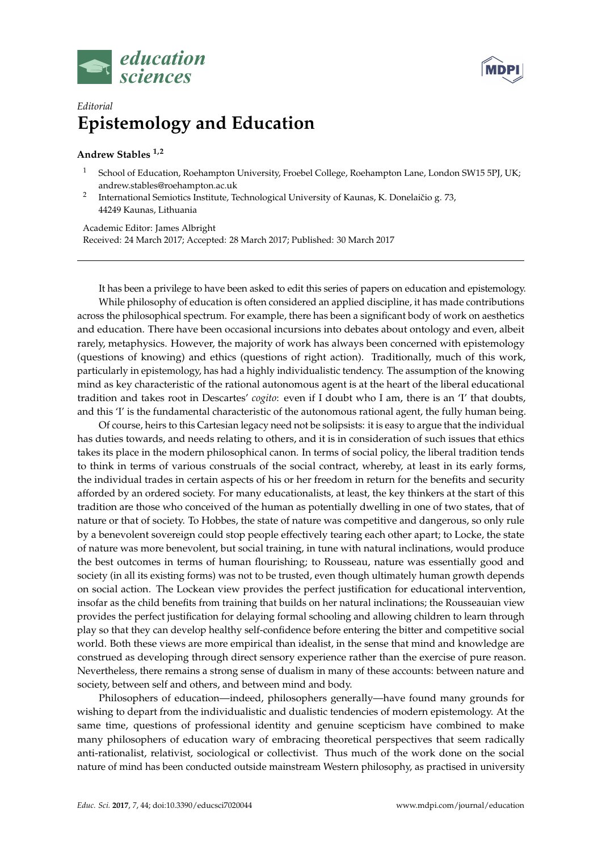



## *Editorial* **Epistemology and Education**

## **Andrew Stables 1,2**

- <sup>1</sup> School of Education, Roehampton University, Froebel College, Roehampton Lane, London SW15 5PJ, UK; andrew.stables@roehampton.ac.uk
- 2 International Semiotics Institute, Technological University of Kaunas, K. Donelaičio g. 73, 44249 Kaunas, Lithuania

Academic Editor: James Albright Received: 24 March 2017; Accepted: 28 March 2017; Published: 30 March 2017

It has been a privilege to have been asked to edit this series of papers on education and epistemology. While philosophy of education is often considered an applied discipline, it has made contributions across the philosophical spectrum. For example, there has been a significant body of work on aesthetics and education. There have been occasional incursions into debates about ontology and even, albeit rarely, metaphysics. However, the majority of work has always been concerned with epistemology (questions of knowing) and ethics (questions of right action). Traditionally, much of this work, particularly in epistemology, has had a highly individualistic tendency. The assumption of the knowing mind as key characteristic of the rational autonomous agent is at the heart of the liberal educational tradition and takes root in Descartes' *cogito*: even if I doubt who I am, there is an 'I' that doubts, and this 'I' is the fundamental characteristic of the autonomous rational agent, the fully human being.

Of course, heirs to this Cartesian legacy need not be solipsists: it is easy to argue that the individual has duties towards, and needs relating to others, and it is in consideration of such issues that ethics takes its place in the modern philosophical canon. In terms of social policy, the liberal tradition tends to think in terms of various construals of the social contract, whereby, at least in its early forms, the individual trades in certain aspects of his or her freedom in return for the benefits and security afforded by an ordered society. For many educationalists, at least, the key thinkers at the start of this tradition are those who conceived of the human as potentially dwelling in one of two states, that of nature or that of society. To Hobbes, the state of nature was competitive and dangerous, so only rule by a benevolent sovereign could stop people effectively tearing each other apart; to Locke, the state of nature was more benevolent, but social training, in tune with natural inclinations, would produce the best outcomes in terms of human flourishing; to Rousseau, nature was essentially good and society (in all its existing forms) was not to be trusted, even though ultimately human growth depends on social action. The Lockean view provides the perfect justification for educational intervention, insofar as the child benefits from training that builds on her natural inclinations; the Rousseauian view provides the perfect justification for delaying formal schooling and allowing children to learn through play so that they can develop healthy self-confidence before entering the bitter and competitive social world. Both these views are more empirical than idealist, in the sense that mind and knowledge are construed as developing through direct sensory experience rather than the exercise of pure reason. Nevertheless, there remains a strong sense of dualism in many of these accounts: between nature and society, between self and others, and between mind and body.

Philosophers of education—indeed, philosophers generally—have found many grounds for wishing to depart from the individualistic and dualistic tendencies of modern epistemology. At the same time, questions of professional identity and genuine scepticism have combined to make many philosophers of education wary of embracing theoretical perspectives that seem radically anti-rationalist, relativist, sociological or collectivist. Thus much of the work done on the social nature of mind has been conducted outside mainstream Western philosophy, as practised in university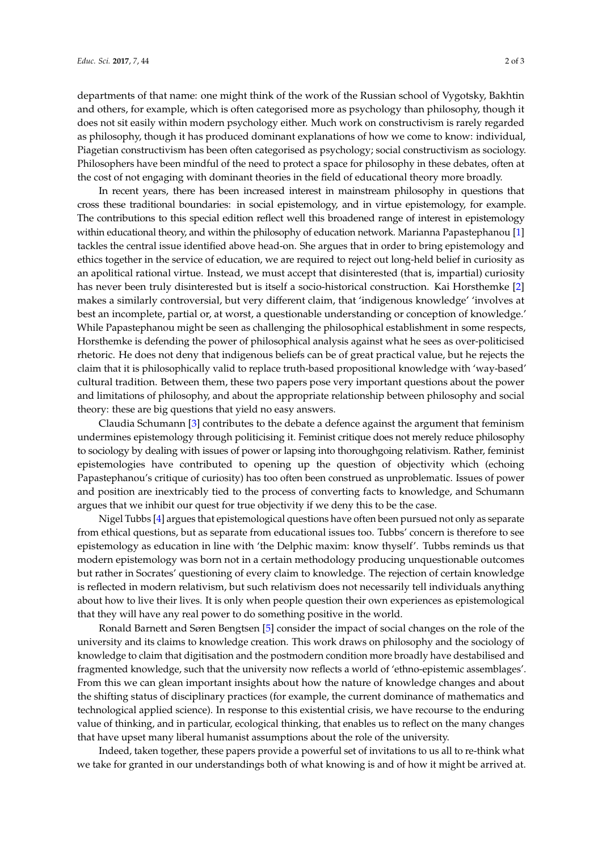departments of that name: one might think of the work of the Russian school of Vygotsky, Bakhtin and others, for example, which is often categorised more as psychology than philosophy, though it does not sit easily within modern psychology either. Much work on constructivism is rarely regarded as philosophy, though it has produced dominant explanations of how we come to know: individual, Piagetian constructivism has been often categorised as psychology; social constructivism as sociology. Philosophers have been mindful of the need to protect a space for philosophy in these debates, often at the cost of not engaging with dominant theories in the field of educational theory more broadly.

In recent years, there has been increased interest in mainstream philosophy in questions that cross these traditional boundaries: in social epistemology, and in virtue epistemology, for example. The contributions to this special edition reflect well this broadened range of interest in epistemology within educational theory, and within the philosophy of education network. Marianna Papastephanou [\[1\]](#page-2-0) tackles the central issue identified above head-on. She argues that in order to bring epistemology and ethics together in the service of education, we are required to reject out long-held belief in curiosity as an apolitical rational virtue. Instead, we must accept that disinterested (that is, impartial) curiosity has never been truly disinterested but is itself a socio-historical construction. Kai Horsthemke [\[2\]](#page-2-1) makes a similarly controversial, but very different claim, that 'indigenous knowledge' 'involves at best an incomplete, partial or, at worst, a questionable understanding or conception of knowledge.' While Papastephanou might be seen as challenging the philosophical establishment in some respects, Horsthemke is defending the power of philosophical analysis against what he sees as over-politicised rhetoric. He does not deny that indigenous beliefs can be of great practical value, but he rejects the claim that it is philosophically valid to replace truth-based propositional knowledge with 'way-based' cultural tradition. Between them, these two papers pose very important questions about the power and limitations of philosophy, and about the appropriate relationship between philosophy and social theory: these are big questions that yield no easy answers.

Claudia Schumann [\[3\]](#page-2-2) contributes to the debate a defence against the argument that feminism undermines epistemology through politicising it. Feminist critique does not merely reduce philosophy to sociology by dealing with issues of power or lapsing into thoroughgoing relativism. Rather, feminist epistemologies have contributed to opening up the question of objectivity which (echoing Papastephanou's critique of curiosity) has too often been construed as unproblematic. Issues of power and position are inextricably tied to the process of converting facts to knowledge, and Schumann argues that we inhibit our quest for true objectivity if we deny this to be the case.

Nigel Tubbs [\[4\]](#page-2-3) argues that epistemological questions have often been pursued not only as separate from ethical questions, but as separate from educational issues too. Tubbs' concern is therefore to see epistemology as education in line with 'the Delphic maxim: know thyself'. Tubbs reminds us that modern epistemology was born not in a certain methodology producing unquestionable outcomes but rather in Socrates' questioning of every claim to knowledge. The rejection of certain knowledge is reflected in modern relativism, but such relativism does not necessarily tell individuals anything about how to live their lives. It is only when people question their own experiences as epistemological that they will have any real power to do something positive in the world.

Ronald Barnett and Søren Bengtsen [\[5\]](#page-2-4) consider the impact of social changes on the role of the university and its claims to knowledge creation. This work draws on philosophy and the sociology of knowledge to claim that digitisation and the postmodern condition more broadly have destabilised and fragmented knowledge, such that the university now reflects a world of 'ethno-epistemic assemblages'. From this we can glean important insights about how the nature of knowledge changes and about the shifting status of disciplinary practices (for example, the current dominance of mathematics and technological applied science). In response to this existential crisis, we have recourse to the enduring value of thinking, and in particular, ecological thinking, that enables us to reflect on the many changes that have upset many liberal humanist assumptions about the role of the university.

Indeed, taken together, these papers provide a powerful set of invitations to us all to re-think what we take for granted in our understandings both of what knowing is and of how it might be arrived at.